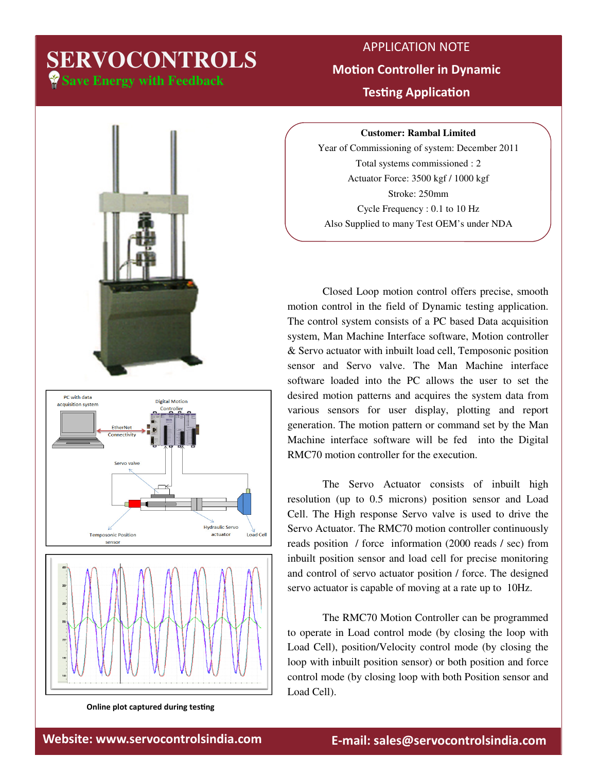## **Save Energy with Feedback SERVOCONTROLS**

## APPLICATION NOTE **Motion Controller in Dynamic Testing Application**

**Customer: Rambal Limited**

Year of Commissioning of system: December 2011 Total systems commissioned : 2 Actuator Force: 3500 kgf / 1000 kgf Stroke: 250mm Cycle Frequency : 0.1 to 10 Hz Also Supplied to many Test OEM's under NDA

 Closed Loop motion control offers precise, smooth motion control in the field of Dynamic testing application. The control system consists of a PC based Data acquisition system, Man Machine Interface software, Motion controller & Servo actuator with inbuilt load cell, Temposonic position sensor and Servo valve. The Man Machine interface software loaded into the PC allows the user to set the desired motion patterns and acquires the system data from various sensors for user display, plotting and report generation. The motion pattern or command set by the Man Machine interface software will be fed into the Digital RMC70 motion controller for the execution.

 The Servo Actuator consists of inbuilt high resolution (up to 0.5 microns) position sensor and Load Cell. The High response Servo valve is used to drive the Servo Actuator. The RMC70 motion controller continuously reads position / force information (2000 reads / sec) from inbuilt position sensor and load cell for precise monitoring and control of servo actuator position / force. The designed servo actuator is capable of moving at a rate up to 10Hz.

 The RMC70 Motion Controller can be programmed to operate in Load control mode (by closing the loop with Load Cell), position/Velocity control mode (by closing the loop with inbuilt position sensor) or both position and force control mode (by closing loop with both Position sensor and Load Cell).





Online plot captured during testing